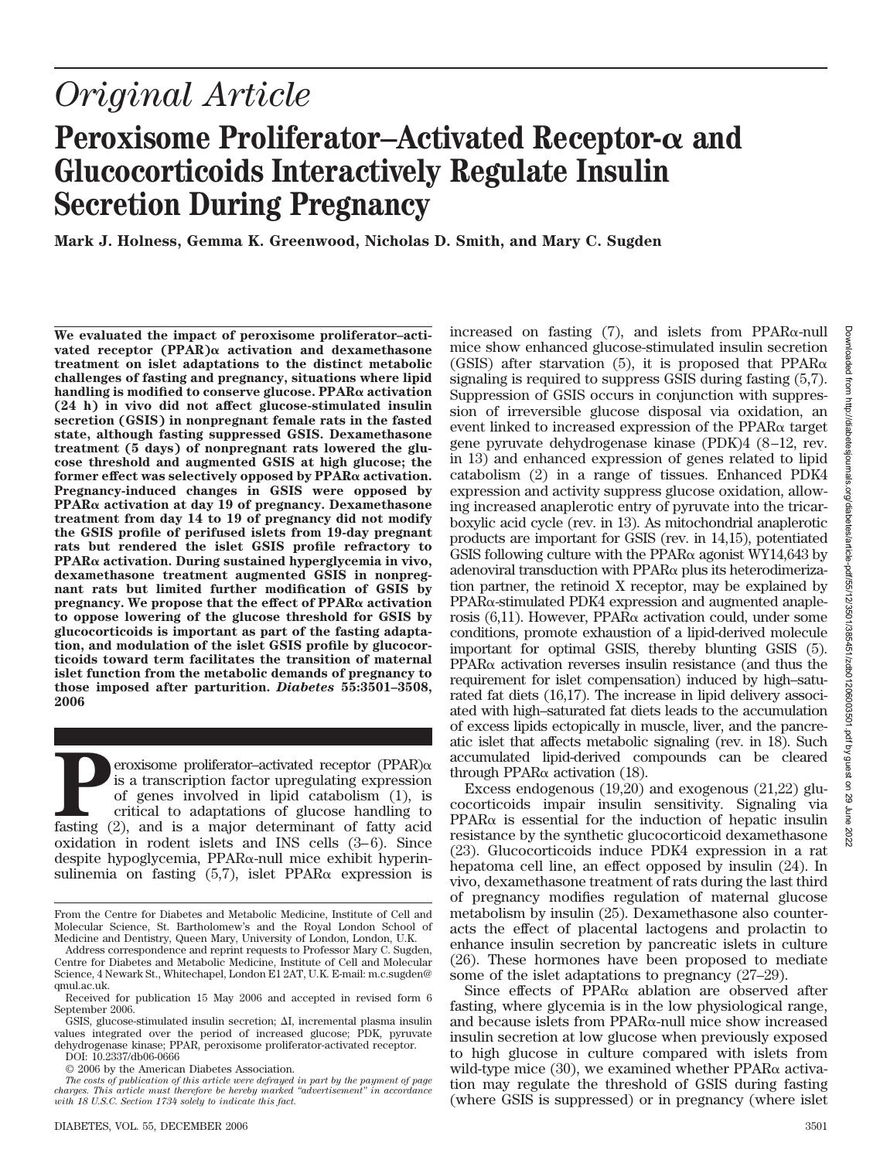# *Original Article*

# **Peroxisome Proliferator–Activated Receptor-** $\alpha$  **and Glucocorticoids Interactively Regulate Insulin Secretion During Pregnancy**

**Mark J. Holness, Gemma K. Greenwood, Nicholas D. Smith, and Mary C. Sugden**

**We evaluated the impact of peroxisome proliferator–activated receptor (PPAR) activation and dexamethasone treatment on islet adaptations to the distinct metabolic challenges of fasting and pregnancy, situations where lipid handling is modified to conserve glucose. PPAR activation (24 h) in vivo did not affect glucose-stimulated insulin secretion (GSIS) in nonpregnant female rats in the fasted state, although fasting suppressed GSIS. Dexamethasone treatment (5 days) of nonpregnant rats lowered the glucose threshold and augmented GSIS at high glucose; the former effect was selectively opposed by PPAR activation. Pregnancy-induced changes in GSIS were opposed by PPAR activation at day 19 of pregnancy. Dexamethasone treatment from day 14 to 19 of pregnancy did not modify the GSIS profile of perifused islets from 19-day pregnant rats but rendered the islet GSIS profile refractory to PPAR activation. During sustained hyperglycemia in vivo, dexamethasone treatment augmented GSIS in nonpregnant rats but limited further modification of GSIS by pregnancy.** We propose that the effect of  $PPAR\alpha$  activation **to oppose lowering of the glucose threshold for GSIS by glucocorticoids is important as part of the fasting adaptation, and modulation of the islet GSIS profile by glucocorticoids toward term facilitates the transition of maternal islet function from the metabolic demands of pregnancy to those imposed after parturition.** *Diabetes* **55:3501–3508, 2006**

**Peroxisome proliferator–activated receptor (PPAR)** $\alpha$  **is a transcription factor upregulating expression of genes involved in lipid catabolism (1), is critical to adaptations of glucose handling to fasting (2), and is a m** is a transcription factor upregulating expression of genes involved in lipid catabolism (1), is critical to adaptations of glucose handling to oxidation in rodent islets and INS cells (3–6). Since despite hypoglycemia,  $PPAR\alpha$ -null mice exhibit hyperinsulinemia on fasting  $(5,7)$ , islet PPAR $\alpha$  expression is

DOI: 10.2337/db06-0666

© 2006 by the American Diabetes Association.

DIABETES, VOL. 55, DECEMBER 2006 3501

increased on fasting  $(7)$ , and islets from PPAR $\alpha$ -null mice show enhanced glucose-stimulated insulin secretion (GSIS) after starvation (5), it is proposed that  $PPAR\alpha$ signaling is required to suppress GSIS during fasting (5,7). Suppression of GSIS occurs in conjunction with suppression of irreversible glucose disposal via oxidation, an event linked to increased expression of the  $PPAR\alpha$  target gene pyruvate dehydrogenase kinase (PDK)4 (8–12, rev. in 13) and enhanced expression of genes related to lipid catabolism (2) in a range of tissues. Enhanced PDK4 expression and activity suppress glucose oxidation, allowing increased anaplerotic entry of pyruvate into the tricarboxylic acid cycle (rev. in 13). As mitochondrial anaplerotic products are important for GSIS (rev. in 14,15), potentiated GSIS following culture with the PPAR $\alpha$  agonist WY14,643 by adenoviral transduction with  $PPAR\alpha$  plus its heterodimerization partner, the retinoid X receptor, may be explained by  $PPAR\alpha$ -stimulated PDK4 expression and augmented anaplerosis  $(6,11)$ . However, PPAR $\alpha$  activation could, under some conditions, promote exhaustion of a lipid-derived molecule important for optimal GSIS, thereby blunting GSIS (5).  $PPAR\alpha$  activation reverses insulin resistance (and thus the requirement for islet compensation) induced by high–saturated fat diets (16,17). The increase in lipid delivery associated with high–saturated fat diets leads to the accumulation of excess lipids ectopically in muscle, liver, and the pancreatic islet that affects metabolic signaling (rev. in 18). Such accumulated lipid-derived compounds can be cleared through PPAR $\alpha$  activation (18).

Excess endogenous (19,20) and exogenous (21,22) glucocorticoids impair insulin sensitivity. Signaling via  $PPAR\alpha$  is essential for the induction of hepatic insulin resistance by the synthetic glucocorticoid dexamethasone (23). Glucocorticoids induce PDK4 expression in a rat hepatoma cell line, an effect opposed by insulin (24). In vivo, dexamethasone treatment of rats during the last third of pregnancy modifies regulation of maternal glucose metabolism by insulin (25). Dexamethasone also counteracts the effect of placental lactogens and prolactin to enhance insulin secretion by pancreatic islets in culture (26). These hormones have been proposed to mediate some of the islet adaptations to pregnancy (27–29).

Since effects of PPAR $\alpha$  ablation are observed after fasting, where glycemia is in the low physiological range, and because islets from  $PPAR\alpha$ -null mice show increased insulin secretion at low glucose when previously exposed to high glucose in culture compared with islets from wild-type mice  $(30)$ , we examined whether PPAR $\alpha$  activation may regulate the threshold of GSIS during fasting (where GSIS is suppressed) or in pregnancy (where islet

From the Centre for Diabetes and Metabolic Medicine, Institute of Cell and Molecular Science, St. Bartholomew's and the Royal London School of Medicine and Dentistry, Queen Mary, University of London, London, U.K.

Address correspondence and reprint requests to Professor Mary C. Sugden, Centre for Diabetes and Metabolic Medicine, Institute of Cell and Molecular Science, 4 Newark St., Whitechapel, London E1 2AT, U.K. E-mail: m.c.sugden@ qmul.ac.uk.

Received for publication 15 May 2006 and accepted in revised form 6 September 2006.

GSIS, glucose-stimulated insulin secretion;  $\Delta I$ , incremental plasma insulin values integrated over the period of increased glucose; PDK, pyruvate dehydrogenase kinase; PPAR, peroxisome proliferator-activated receptor.

*The costs of publication of this article were defrayed in part by the payment of page charges. This article must therefore be hereby marked "advertisement" in accordance with 18 U.S.C. Section 1734 solely to indicate this fact.*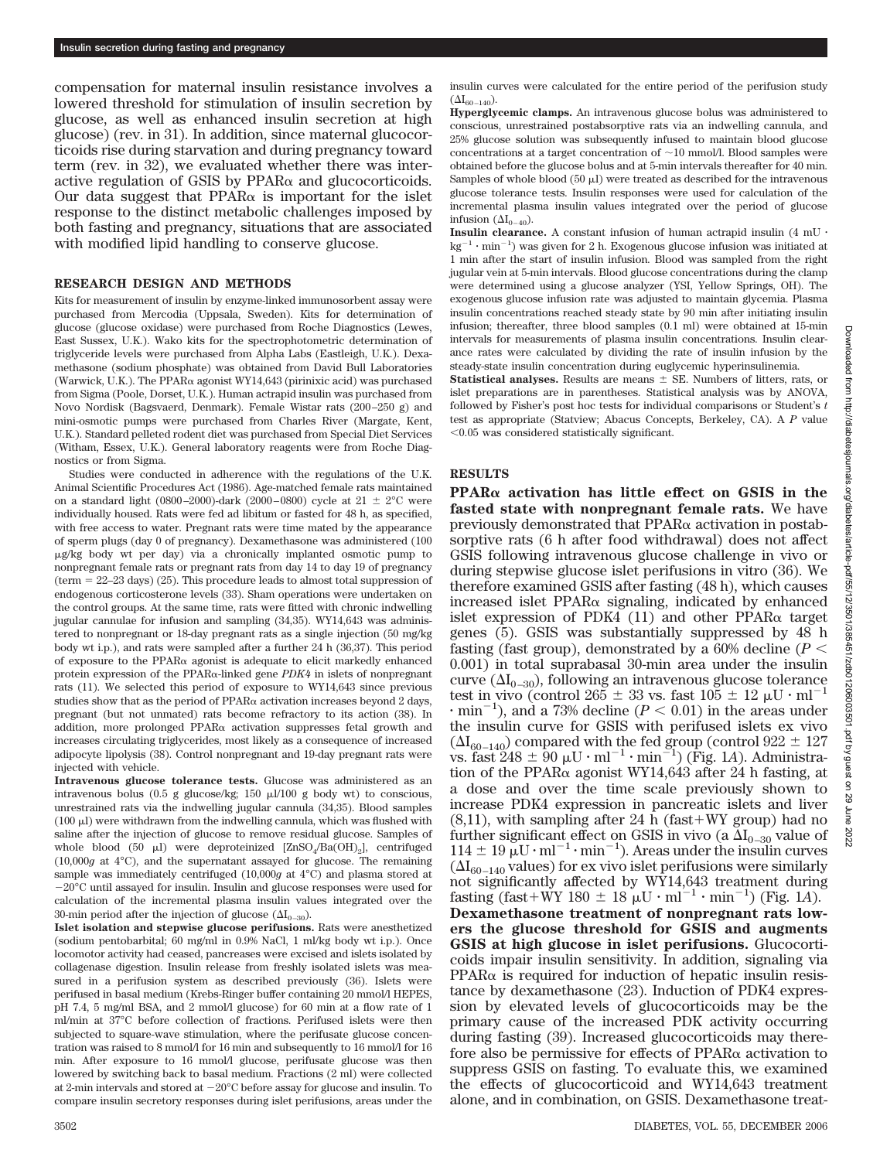compensation for maternal insulin resistance involves a lowered threshold for stimulation of insulin secretion by glucose, as well as enhanced insulin secretion at high glucose) (rev. in 31). In addition, since maternal glucocorticoids rise during starvation and during pregnancy toward term (rev. in 32), we evaluated whether there was interactive regulation of GSIS by  $PPAR\alpha$  and glucocorticoids. Our data suggest that  $PPAR\alpha$  is important for the islet response to the distinct metabolic challenges imposed by both fasting and pregnancy, situations that are associated with modified lipid handling to conserve glucose.

### **RESEARCH DESIGN AND METHODS**

Kits for measurement of insulin by enzyme-linked immunosorbent assay were purchased from Mercodia (Uppsala, Sweden). Kits for determination of glucose (glucose oxidase) were purchased from Roche Diagnostics (Lewes, East Sussex, U.K.). Wako kits for the spectrophotometric determination of triglyceride levels were purchased from Alpha Labs (Eastleigh, U.K.). Dexamethasone (sodium phosphate) was obtained from David Bull Laboratories (Warwick, U.K.). The PPAR $\alpha$  agonist WY14,643 (pirinixic acid) was purchased from Sigma (Poole, Dorset, U.K.). Human actrapid insulin was purchased from Novo Nordisk (Bagsvaerd, Denmark). Female Wistar rats (200–250 g) and mini-osmotic pumps were purchased from Charles River (Margate, Kent, U.K.). Standard pelleted rodent diet was purchased from Special Diet Services (Witham, Essex, U.K.). General laboratory reagents were from Roche Diagnostics or from Sigma.

Studies were conducted in adherence with the regulations of the U.K. Animal Scientific Procedures Act (1986). Age-matched female rats maintained on a standard light (0800–2000)-dark (2000–0800) cycle at  $21 \pm 2^{\circ}$ C were individually housed. Rats were fed ad libitum or fasted for 48 h, as specified, with free access to water. Pregnant rats were time mated by the appearance of sperm plugs (day 0 of pregnancy). Dexamethasone was administered (100 g/kg body wt per day) via a chronically implanted osmotic pump to nonpregnant female rats or pregnant rats from day 14 to day 19 of pregnancy (term  $= 22-23$  days) (25). This procedure leads to almost total suppression of endogenous corticosterone levels (33). Sham operations were undertaken on the control groups. At the same time, rats were fitted with chronic indwelling jugular cannulae for infusion and sampling (34,35). WY14,643 was administered to nonpregnant or 18-day pregnant rats as a single injection (50 mg/kg body wt i.p.), and rats were sampled after a further 24 h (36,37). This period of exposure to the PPAR $\alpha$  agonist is adequate to elicit markedly enhanced protein expression of the PPAR<sub><sup>a</sub>-linked gene *PDK4* in islets of nonpregnant</sub></sup> rats (11). We selected this period of exposure to WY14,643 since previous studies show that as the period of PPAR $\alpha$  activation increases beyond 2 days, pregnant (but not unmated) rats become refractory to its action (38). In addition, more prolonged  $PPAR\alpha$  activation suppresses fetal growth and increases circulating triglycerides, most likely as a consequence of increased adipocyte lipolysis (38). Control nonpregnant and 19-day pregnant rats were injected with vehicle.

**Intravenous glucose tolerance tests.** Glucose was administered as an intravenous bolus (0.5 g glucose/kg; 150  $\mu$ l/100 g body wt) to conscious, unrestrained rats via the indwelling jugular cannula (34,35). Blood samples  $(100 \mu)$  were withdrawn from the indwelling cannula, which was flushed with saline after the injection of glucose to remove residual glucose. Samples of whole blood (50  $\mu$ I) were deproteinized [ZnSO<sub>4</sub>/Ba(OH)<sub>2</sub>], centrifuged (10,000*g* at 4°C), and the supernatant assayed for glucose. The remaining sample was immediately centrifuged (10,000*g* at 4°C) and plasma stored at  $-20^{\circ}$ C until assayed for insulin. Insulin and glucose responses were used for calculation of the incremental plasma insulin values integrated over the 30-min period after the injection of glucose  $(\Delta I_{0-30})$ .

**Islet isolation and stepwise glucose perifusions.** Rats were anesthetized (sodium pentobarbital; 60 mg/ml in 0.9% NaCl, 1 ml/kg body wt i.p.). Once locomotor activity had ceased, pancreases were excised and islets isolated by collagenase digestion. Insulin release from freshly isolated islets was measured in a perifusion system as described previously (36). Islets were perifused in basal medium (Krebs-Ringer buffer containing 20 mmol/l HEPES, pH 7.4, 5 mg/ml BSA, and 2 mmol/l glucose) for 60 min at a flow rate of 1 ml/min at 37°C before collection of fractions. Perifused islets were then subjected to square-wave stimulation, where the perifusate glucose concentration was raised to 8 mmol/l for 16 min and subsequently to 16 mmol/l for 16 min. After exposure to 16 mmol/l glucose, perifusate glucose was then lowered by switching back to basal medium. Fractions (2 ml) were collected at 2-min intervals and stored at  $-20^{\circ}$ C before assay for glucose and insulin. To compare insulin secretory responses during islet perifusions, areas under the

insulin curves were calculated for the entire period of the perifusion study  $({\Delta I_{60-140}}).$ 

**Hyperglycemic clamps.** An intravenous glucose bolus was administered to conscious, unrestrained postabsorptive rats via an indwelling cannula, and 25% glucose solution was subsequently infused to maintain blood glucose concentrations at a target concentration of  $\sim$  10 mmol/l. Blood samples were obtained before the glucose bolus and at 5-min intervals thereafter for 40 min. Samples of whole blood  $(50 \mu)$  were treated as described for the intravenous glucose tolerance tests. Insulin responses were used for calculation of the incremental plasma insulin values integrated over the period of glucose infusion  $(\Delta I_{0-40})$ .

**Insulin clearance.** A constant infusion of human actrapid insulin  $(4 \text{ mU} \cdot$  $kg^{-1} \cdot min^{-1}$ ) was given for 2 h. Exogenous glucose infusion was initiated at 1 min after the start of insulin infusion. Blood was sampled from the right jugular vein at 5-min intervals. Blood glucose concentrations during the clamp were determined using a glucose analyzer (YSI, Yellow Springs, OH). The exogenous glucose infusion rate was adjusted to maintain glycemia. Plasma insulin concentrations reached steady state by 90 min after initiating insulin infusion; thereafter, three blood samples (0.1 ml) were obtained at 15-min intervals for measurements of plasma insulin concentrations. Insulin clearance rates were calculated by dividing the rate of insulin infusion by the steady-state insulin concentration during euglycemic hyperinsulinemia.

**Statistical analyses.** Results are means  $\pm$  SE. Numbers of litters, rats, or islet preparations are in parentheses. Statistical analysis was by ANOVA, followed by Fisher's post hoc tests for individual comparisons or Student's *t* test as appropriate (Statview; Abacus Concepts, Berkeley, CA). A *P* value  $<$ 0.05 was considered statistically significant.

#### **RESULTS**

**PPAR activation has little effect on GSIS in the fasted state with nonpregnant female rats.** We have previously demonstrated that  $PPAR\alpha$  activation in postabsorptive rats (6 h after food withdrawal) does not affect GSIS following intravenous glucose challenge in vivo or during stepwise glucose islet perifusions in vitro (36). We therefore examined GSIS after fasting (48 h), which causes increased islet  $PPAR\alpha$  signaling, indicated by enhanced islet expression of PDK4 (11) and other PPAR $\alpha$  target genes (5). GSIS was substantially suppressed by 48 h fasting (fast group), demonstrated by a  $60\%$  decline ( $P <$ 0.001) in total suprabasal 30-min area under the insulin curve  $(\Delta I_{0-30})$ , following an intravenous glucose tolerance test in vivo (control 265  $\pm$  33 vs. fast 105  $\pm$  12  $\mu$ U · ml<sup>-</sup>  $\cdot$  min<sup>-1</sup>), and a 73% decline ( $P < 0.01$ ) in the areas under the insulin curve for GSIS with perifused islets ex vivo  $(\Delta I_{60-140})$  compared with the fed group (control 922  $\pm$  127 vs. fast  $248 \pm 90 \mu U \cdot ml^{-1} \cdot min^{-1}$ ) (Fig. 1*A*). Administration of the PPAR $\alpha$  agonist WY14,643 after 24 h fasting, at a dose and over the time scale previously shown to increase PDK4 expression in pancreatic islets and liver  $(8,11)$ , with sampling after 24 h (fast + WY group) had no further significant effect on GSIS in vivo (a  $\Delta I_{0-30}$  value of  $114 \pm 19 \mu U \cdot ml^{-1} \cdot min^{-1}$ ). Areas under the insulin curves  $(\Delta I_{60-140}$  values) for ex vivo islet perifusions were similarly not significantly affected by WY14,643 treatment during fasting (fast+WY 180  $\pm$  18  $\mu$ U · ml<sup>-1</sup> · min<sup>-1</sup>) (Fig. 1*A*). **Dexamethasone treatment of nonpregnant rats lowers the glucose threshold for GSIS and augments GSIS at high glucose in islet perifusions.** Glucocorticoids impair insulin sensitivity. In addition, signaling via  $PPAR\alpha$  is required for induction of hepatic insulin resistance by dexamethasone (23). Induction of PDK4 expression by elevated levels of glucocorticoids may be the primary cause of the increased PDK activity occurring during fasting (39). Increased glucocorticoids may therefore also be permissive for effects of  $PPAR\alpha$  activation to suppress GSIS on fasting. To evaluate this, we examined the effects of glucocorticoid and WY14,643 treatment alone, and in combination, on GSIS. Dexamethasone treat-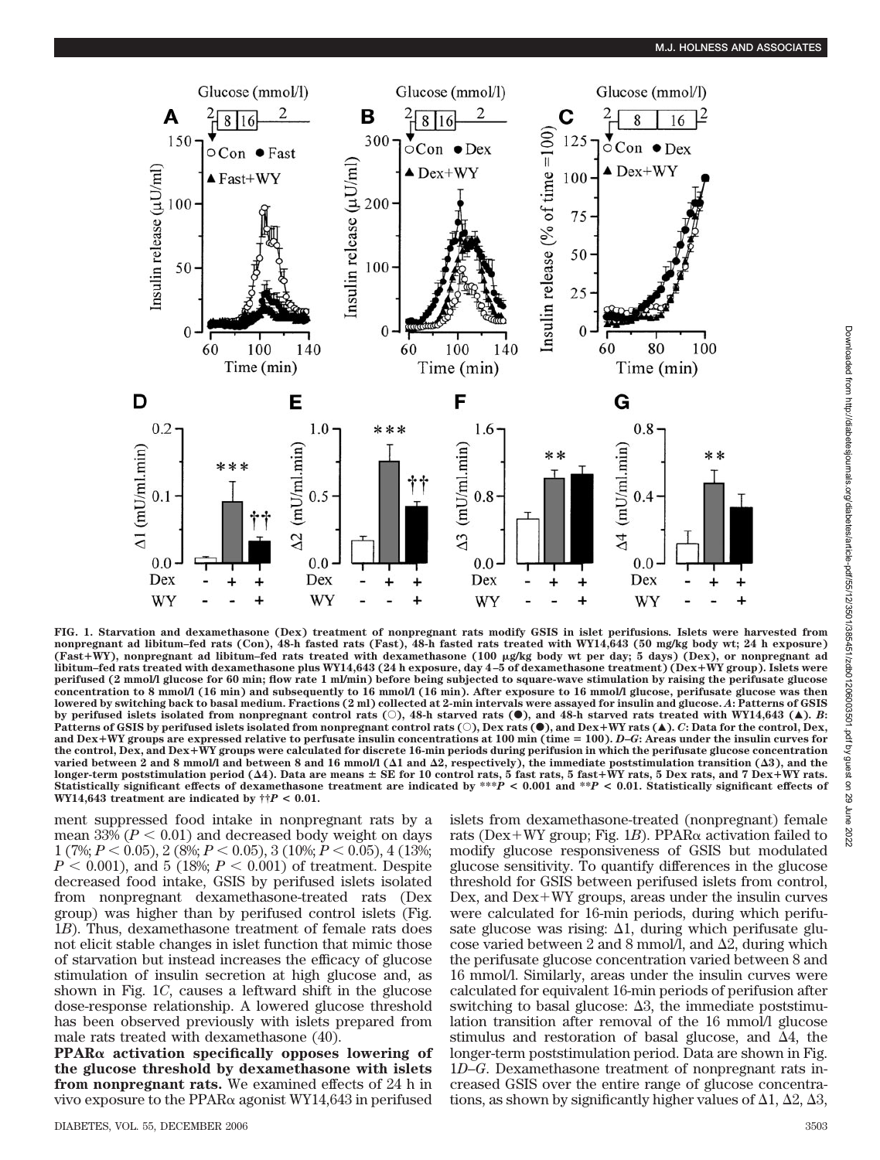

**FIG. 1. Starvation and dexamethasone (Dex) treatment of nonpregnant rats modify GSIS in islet perifusions***.* **Islets were harvested from nonpregnant ad libitum–fed rats (Con), 48-h fasted rats (Fast), 48-h fasted rats treated with WY14,643 (50 mg/kg body wt; 24 h exposure) (Fast**-**WY), nonpregnant ad libitum–fed rats treated with dexamethasone (100 g/kg body wt per day; 5 days) (Dex), or nonpregnant ad libitum–fed rats treated with dexamethasone plus WY14,643 (24 h exposure, day 4–5 of dexamethasone treatment) (Dex**-**WY group). Islets were perifused (2 mmol/l glucose for 60 min; flow rate 1 ml/min) before being subjected to square-wave stimulation by raising the perifusate glucose concentration to 8 mmol/l (16 min) and subsequently to 16 mmol/l (16 min). After exposure to 16 mmol/l glucose, perifusate glucose was then lowered by switching back to basal medium. Fractions (2 ml) collected at 2-min intervals were assayed for insulin and glucose.** *A***: Patterns of GSIS** by perifused islets isolated from nonpregnant control rats  $(\circ)$ , 48-h starved rats  $(\bullet)$ , and 48-h starved rats treated with WY14,643 ( $\blacktriangle$ ). *B*: **Patterns of GSIS by perifused islets isolated from nonpregnant control rats (**E**), Dex rats (**F**), and Dex**-**WY rats (**Œ**).** *C***: Data for the control, Dex, and Dex**-**WY groups are expressed relative to perfusate insulin concentrations at 100 min (time 100).** *D***–***G***: Areas under the insulin curves for the control, Dex, and Dex**-**WY groups were calculated for discrete 16-min periods during perifusion in which the perifusate glucose concentration varied between 2 and 8 mmol/l and between 8 and 16 mmol/l (1 and 2, respectively), the immediate poststimulation transition (3), and the** longer-term poststimulation period (Δ4). Data are means ± SE for 10 control rats, 5 fast rats, 5 fast+WY rats, 5 Dex rats, and 7 Dex+WY rats.<br>Statistically significant effects of dexamethasone treatment are indicated by \*\* **WY14,643** treatment are indicated by  $\dagger \dagger P < 0.01$ .

ment suppressed food intake in nonpregnant rats by a mean  $33\% (P < 0.01)$  and decreased body weight on days 1 (7%;  $P < 0.05$ ), 2 (8%;  $P < 0.05$ ), 3 (10%;  $P < 0.05$ ), 4 (13%;  $P < 0.001$ ), and 5 (18%;  $P < 0.001$ ) of treatment. Despite decreased food intake, GSIS by perifused islets isolated from nonpregnant dexamethasone-treated rats (Dex group) was higher than by perifused control islets (Fig. 1*B*). Thus, dexamethasone treatment of female rats does not elicit stable changes in islet function that mimic those of starvation but instead increases the efficacy of glucose stimulation of insulin secretion at high glucose and, as shown in Fig. 1*C*, causes a leftward shift in the glucose dose-response relationship. A lowered glucose threshold has been observed previously with islets prepared from male rats treated with dexamethasone (40).

**PPAR activation specifically opposes lowering of the glucose threshold by dexamethasone with islets from nonpregnant rats.** We examined effects of 24 h in vivo exposure to the PPAR $\alpha$  agonist WY14,643 in perifused islets from dexamethasone-treated (nonpregnant) female rats (Dex+WY group; Fig. 1*B*). PPAR $\alpha$  activation failed to modify glucose responsiveness of GSIS but modulated glucose sensitivity. To quantify differences in the glucose threshold for GSIS between perifused islets from control, Dex, and  $Dex+WY$  groups, areas under the insulin curves were calculated for 16-min periods, during which perifusate glucose was rising:  $\Delta 1$ , during which perifusate glucose varied between 2 and 8 mmol/l, and  $\Delta 2$ , during which the perifusate glucose concentration varied between 8 and 16 mmol/l. Similarly, areas under the insulin curves were calculated for equivalent 16-min periods of perifusion after switching to basal glucose:  $\Delta 3$ , the immediate poststimulation transition after removal of the 16 mmol/l glucose stimulus and restoration of basal glucose, and  $\Delta 4$ , the longer-term poststimulation period. Data are shown in Fig. 1*D*–*G*. Dexamethasone treatment of nonpregnant rats increased GSIS over the entire range of glucose concentrations, as shown by significantly higher values of  $\Delta 1$ ,  $\Delta 2$ ,  $\Delta 3$ ,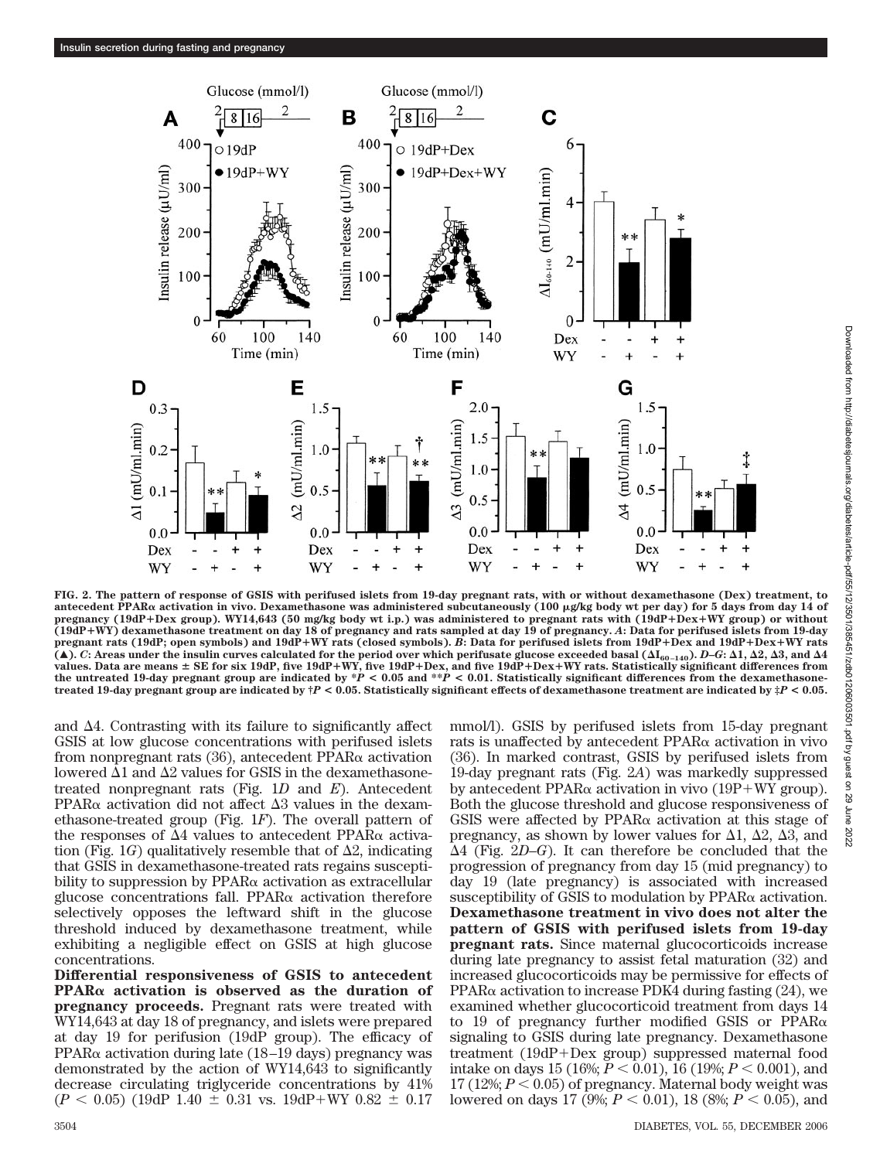

Downloaded from http://diabetesjournals.org/diabetes/article-pdf/55/12/3501/385451/zdb01206003501.pdf by guest on 29 June Downloaded from http://diabetesjournals.org/diabetes/article-pdf/55/12/3501/385451/zdb01206003501.pdf by guest on 29 June 2022

2022

**FIG. 2. The pattern of response of GSIS with perifused islets from 19-day pregnant rats, with or without dexamethasone (Dex) treatment, to antecedent PPAR activation in vivo. Dexamethasone was administered subcutaneously (100 g/kg body wt per day) for 5 days from day 14 of pregnancy (19dP**-**Dex group). WY14,643 (50 mg/kg body wt i.p.) was administered to pregnant rats with (19dP**-**Dex**-**WY group) or without (19dP**-**WY) dexamethasone treatment on day 18 of pregnancy and rats sampled at day 19 of pregnancy.** *A***: Data for perifused islets from 19-day** pregnant rats (19dP; open symbols) and 19dP+WY rats (closed symbols). *B*: Data for perifused islets from 19dP+Dex and 19dP+Dex+WY rats<br>(▲). *C*: Areas under the insulin curves calculated for the period over which perifus values. Data are means ± SE for six 19dP, five 19dP+WY, five 19dP+Dex, and five 19dP+Dex+WY rats. Statistically significant differences from<br>the untreated 19-day pregnant group are indicated by \*P < 0.05 and \*\*P < 0.01. St **treated 19-day pregnant group are indicated by †***P* **< 0.05. Statistically significant effects of dexamethasone treatment are indicated by ‡***P* **< 0.05.**

and  $\Delta 4$ . Contrasting with its failure to significantly affect GSIS at low glucose concentrations with perifused islets from nonpregnant rats  $(36)$ , antecedent PPAR $\alpha$  activation lowered  $\Delta 1$  and  $\Delta 2$  values for GSIS in the dexamethasonetreated nonpregnant rats (Fig. 1*D* and *E*). Antecedent  $PPAR\alpha$  activation did not affect  $\Delta 3$  values in the dexamethasone-treated group (Fig. 1*F*). The overall pattern of the responses of  $\Delta 4$  values to antecedent PPAR $\alpha$  activation (Fig.  $1G$ ) qualitatively resemble that of  $\Delta 2$ , indicating that GSIS in dexamethasone-treated rats regains susceptibility to suppression by  $PPAR\alpha$  activation as extracellular glucose concentrations fall. PPAR $\alpha$  activation therefore selectively opposes the leftward shift in the glucose threshold induced by dexamethasone treatment, while exhibiting a negligible effect on GSIS at high glucose concentrations.

**Differential responsiveness of GSIS to antecedent PPAR activation is observed as the duration of pregnancy proceeds.** Pregnant rats were treated with WY14,643 at day 18 of pregnancy, and islets were prepared at day 19 for perifusion (19dP group). The efficacy of PPAR $\alpha$  activation during late (18–19 days) pregnancy was demonstrated by the action of WY14,643 to significantly decrease circulating triglyceride concentrations by 41%  $(P < 0.05)$  (19dP 1.40  $\pm$  0.31 vs. 19dP+WY 0.82  $\pm$  0.17

mmol/l). GSIS by perifused islets from 15-day pregnant rats is unaffected by antecedent  $PPAR\alpha$  activation in vivo (36). In marked contrast, GSIS by perifused islets from 19-day pregnant rats (Fig. 2*A*) was markedly suppressed by antecedent PPAR $\alpha$  activation in vivo (19P+WY group). Both the glucose threshold and glucose responsiveness of GSIS were affected by  $PPAR\alpha$  activation at this stage of pregnancy, as shown by lower values for  $\Delta 1$ ,  $\Delta 2$ ,  $\Delta 3$ , and -4 (Fig. 2*D*–*G*). It can therefore be concluded that the progression of pregnancy from day 15 (mid pregnancy) to day 19 (late pregnancy) is associated with increased susceptibility of GSIS to modulation by  $PPAR\alpha$  activation. **Dexamethasone treatment in vivo does not alter the pattern of GSIS with perifused islets from 19-day pregnant rats.** Since maternal glucocorticoids increase during late pregnancy to assist fetal maturation (32) and increased glucocorticoids may be permissive for effects of PPAR $\alpha$  activation to increase PDK4 during fasting (24), we examined whether glucocorticoid treatment from days 14 to 19 of pregnancy further modified GSIS or  $PPAR\alpha$ signaling to GSIS during late pregnancy. Dexamethasone treatment (19dP+Dex group) suppressed maternal food intake on days 15 (16%;  $P < 0.01$ ), 16 (19%;  $P < 0.001$ ), and 17 (12%;  $P < 0.05$ ) of pregnancy. Maternal body weight was lowered on days 17 (9%;  $P < 0.01$ ), 18 (8%;  $P < 0.05$ ), and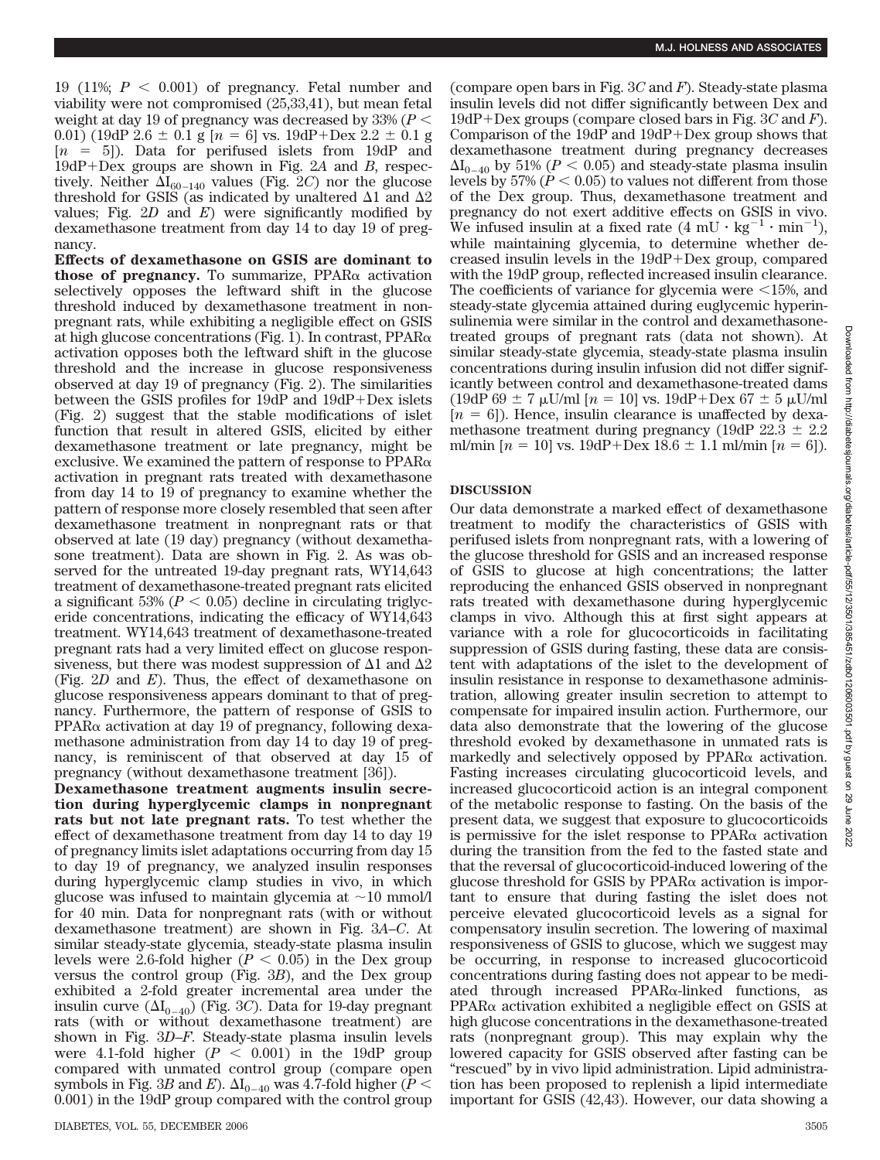19 (11%;  $P < 0.001$ ) of pregnancy. Fetal number and viability were not compromised (25,33,41), but mean fetal weight at day 19 of pregnancy was decreased by 33% (*P* 0.01) (19dP  $2.6 \pm 0.1$  g  $[n = 6]$  vs. 19dP+Dex  $2.2 \pm 0.1$  g  $[n = 5]$ ). Data for perifused islets from 19dP and 19dP+Dex groups are shown in Fig. 2A and B, respectively. Neither  $\Delta I_{60-140}$  values (Fig. 2*C*) nor the glucose threshold for GSIS (as indicated by unaltered  $\Delta 1$  and  $\Delta 2$ values; Fig. 2*D* and *E*) were significantly modified by dexamethasone treatment from day 14 to day 19 of pregnancy.

**Effects of dexamethasone on GSIS are dominant to those of pregnancy.** To summarize,  $PPAR\alpha$  activation selectively opposes the leftward shift in the glucose threshold induced by dexamethasone treatment in nonpregnant rats, while exhibiting a negligible effect on GSIS at high glucose concentrations (Fig. 1). In contrast,  $PPAR\alpha$ activation opposes both the leftward shift in the glucose threshold and the increase in glucose responsiveness observed at day 19 of pregnancy (Fig. 2). The similarities between the GSIS profiles for 19dP and 19dP+Dex islets (Fig. 2) suggest that the stable modifications of islet function that result in altered GSIS, elicited by either dexamethasone treatment or late pregnancy, might be exclusive. We examined the pattern of response to  $PPAR\alpha$ activation in pregnant rats treated with dexamethasone from day 14 to 19 of pregnancy to examine whether the pattern of response more closely resembled that seen after dexamethasone treatment in nonpregnant rats or that observed at late (19 day) pregnancy (without dexamethasone treatment). Data are shown in Fig. 2. As was observed for the untreated 19-day pregnant rats, WY14,643 treatment of dexamethasone-treated pregnant rats elicited a significant 53% ( $P < 0.05$ ) decline in circulating triglyceride concentrations, indicating the efficacy of WY14,643 treatment. WY14,643 treatment of dexamethasone-treated pregnant rats had a very limited effect on glucose responsiveness, but there was modest suppression of  $\Delta 1$  and  $\Delta 2$ (Fig. 2*D* and *E*). Thus, the effect of dexamethasone on glucose responsiveness appears dominant to that of pregnancy. Furthermore, the pattern of response of GSIS to  $PPAR\alpha$  activation at day 19 of pregnancy, following dexamethasone administration from day 14 to day 19 of pregnancy, is reminiscent of that observed at day 15 of pregnancy (without dexamethasone treatment [36]).

**Dexamethasone treatment augments insulin secretion during hyperglycemic clamps in nonpregnant rats but not late pregnant rats.** To test whether the effect of dexamethasone treatment from day 14 to day 19 of pregnancy limits islet adaptations occurring from day 15 to day 19 of pregnancy, we analyzed insulin responses during hyperglycemic clamp studies in vivo, in which glucose was infused to maintain glycemia at  $\sim 10 \text{ mmol/l}$ for 40 min. Data for nonpregnant rats (with or without dexamethasone treatment) are shown in Fig. 3*A*–*C*. At similar steady-state glycemia, steady-state plasma insulin levels were 2.6-fold higher  $(P < 0.05)$  in the Dex group versus the control group (Fig. 3*B*), and the Dex group exhibited a 2-fold greater incremental area under the insulin curve  $(\Delta I_{0-40})$  (Fig. 3*C*). Data for 19-day pregnant rats (with or without dexamethasone treatment) are shown in Fig. 3*D*–*F*. Steady-state plasma insulin levels were 4.1-fold higher  $(P < 0.001)$  in the 19dP group compared with unmated control group (compare open symbols in Fig. 3*B* and *E*).  $\Delta I_{0-40}$  was 4.7-fold higher (*P* < 0.001) in the 19dP group compared with the control group

(compare open bars in Fig. 3*C* and *F*). Steady-state plasma insulin levels did not differ significantly between Dex and 19dP Dex groups (compare closed bars in Fig. 3*C* and *F*). Comparison of the  $19dP$  and  $19dP +$ Dex group shows that dexamethasone treatment during pregnancy decreases  $\Delta I_{0-40}$  by 51% ( $P < 0.05$ ) and steady-state plasma insulin levels by 57% ( $P < 0.05$ ) to values not different from those of the Dex group. Thus, dexamethasone treatment and pregnancy do not exert additive effects on GSIS in vivo. We infused insulin at a fixed rate  $(4 \text{ mU} \cdot \text{kg}^{-1} \cdot \text{min}^{-1})$ , while maintaining glycemia, to determine whether decreased insulin levels in the  $19dP +$ Dex group, compared with the 19dP group, reflected increased insulin clearance. The coefficients of variance for glycemia were  $\leq 15\%$ , and steady-state glycemia attained during euglycemic hyperinsulinemia were similar in the control and dexamethasonetreated groups of pregnant rats (data not shown). At similar steady-state glycemia, steady-state plasma insulin concentrations during insulin infusion did not differ significantly between control and dexamethasone-treated dams (19dP 69  $\pm$  7  $\mu$ U/ml [*n* = 10] vs. 19dP+Dex 67  $\pm$  5  $\mu$ U/ml  $[n = 6]$ ). Hence, insulin clearance is unaffected by dexamethasone treatment during pregnancy (19dP  $22.3 \pm 2.2$ ) ml/min  $[n = 10]$  vs.  $19dP + Dev 18.6 \pm 1.1$  ml/min  $[n = 6]$ ).

## **DISCUSSION**

Our data demonstrate a marked effect of dexamethasone treatment to modify the characteristics of GSIS with perifused islets from nonpregnant rats, with a lowering of the glucose threshold for GSIS and an increased response of GSIS to glucose at high concentrations; the latter reproducing the enhanced GSIS observed in nonpregnant rats treated with dexamethasone during hyperglycemic clamps in vivo. Although this at first sight appears at variance with a role for glucocorticoids in facilitating suppression of GSIS during fasting, these data are consistent with adaptations of the islet to the development of insulin resistance in response to dexamethasone administration, allowing greater insulin secretion to attempt to compensate for impaired insulin action. Furthermore, our data also demonstrate that the lowering of the glucose threshold evoked by dexamethasone in unmated rats is markedly and selectively opposed by  $PPAR\alpha$  activation. Fasting increases circulating glucocorticoid levels, and increased glucocorticoid action is an integral component of the metabolic response to fasting. On the basis of the present data, we suggest that exposure to glucocorticoids is permissive for the islet response to  $PPAR\alpha$  activation during the transition from the fed to the fasted state and that the reversal of glucocorticoid-induced lowering of the glucose threshold for GSIS by  $PPAR\alpha$  activation is important to ensure that during fasting the islet does not perceive elevated glucocorticoid levels as a signal for compensatory insulin secretion. The lowering of maximal responsiveness of GSIS to glucose, which we suggest may be occurring, in response to increased glucocorticoid concentrations during fasting does not appear to be mediated through increased  $PPAR\alpha$ -linked functions, as  $PPAR\alpha$  activation exhibited a negligible effect on GSIS at high glucose concentrations in the dexamethasone-treated rats (nonpregnant group). This may explain why the lowered capacity for GSIS observed after fasting can be "rescued" by in vivo lipid administration. Lipid administration has been proposed to replenish a lipid intermediate important for GSIS (42,43). However, our data showing a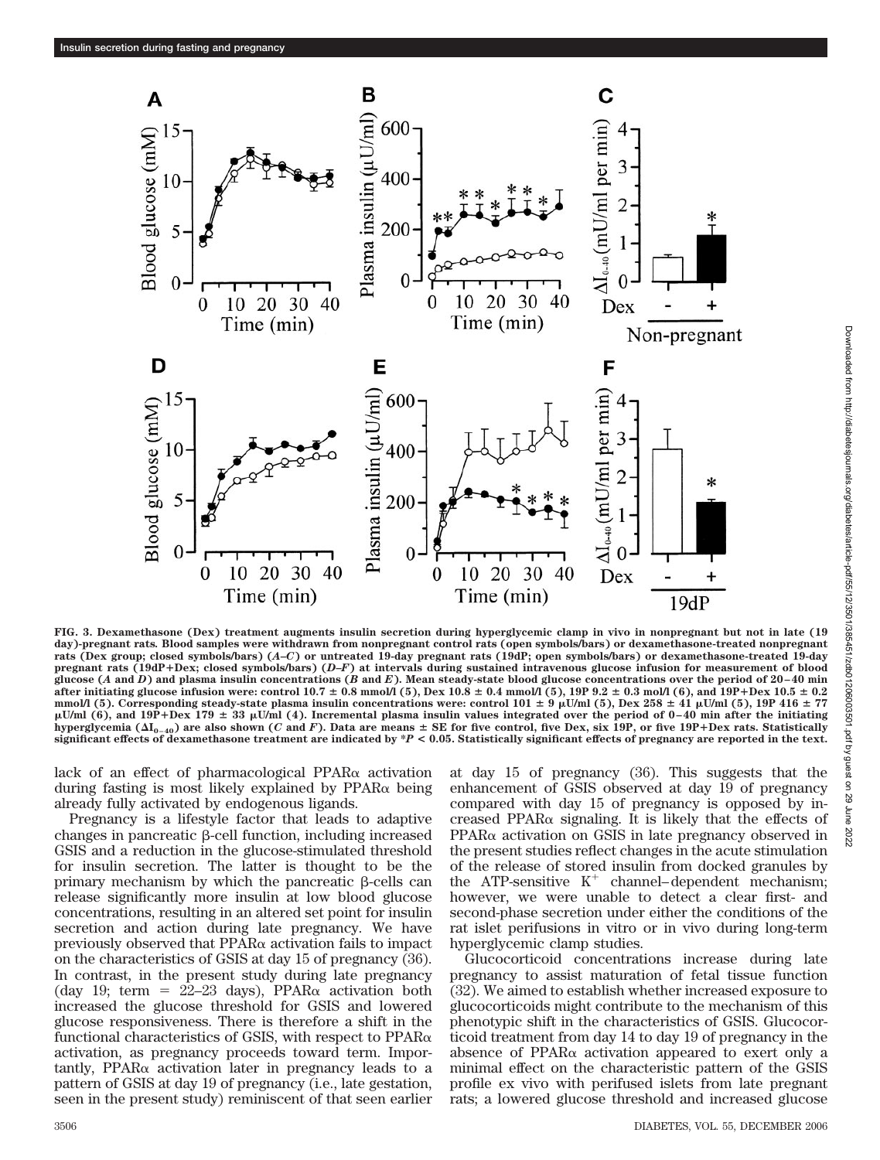

Downloaded from http://diabetesjournals.org/diabetes/article-pdf/55/12/3501/385451/zdb01206003501.pdf by guest on 29 June Downloaded from http://diabetesjournals.org/diabetes/article-pdf/55/12/3501/385451/zdb01206003501.pdf by guest on 29 June 20222022

**FIG. 3. Dexamethasone (Dex) treatment augments insulin secretion during hyperglycemic clamp in vivo in nonpregnant but not in late (19 day)-pregnant rats***.* **Blood samples were withdrawn from nonpregnant control rats (open symbols/bars) or dexamethasone-treated nonpregnant rats (Dex group; closed symbols/bars) (***A***–***C***) or untreated 19-day pregnant rats (19dP; open symbols/bars) or dexamethasone-treated 19-day pregnant rats (19dP**-**Dex; closed symbols/bars) (***D***–***F***) at intervals during sustained intravenous glucose infusion for measurement of blood glucose (***A* **and** *D***) and plasma insulin concentrations (***B* **and** *E***). Mean steady-state blood glucose concentrations over the period of 20–40 min after initiating glucose infusion were: control 10.7 0.8 mmol/l (5), Dex 10.8 0.4 mmol/l (5), 19P 9.2 0.3 mol/l (6), and 19P**-**Dex 10.5 0.2** mmol/l (5). Corresponding steady-state plasma insulin concentrations were: control  $101 \pm 9$   $\mu$ U/ml (5), Dex  $258 \pm 41$   $\mu$ U/ml (5), 19P 416  $\pm$  77 **U/ml (6), and 19P**-**Dex 179 33 U/ml (4). Incremental plasma insulin values integrated over the period of 0–40 min after the initiating hyperglycemia (I0–40) are also shown (***C* **and** *F***). Data are means SE for five control, five Dex, six 19P, or five 19P**-**Dex rats. Statistically significant effects of dexamethasone treatment are indicated by \****P* **< 0.05. Statistically significant effects of pregnancy are reported in the text.**

lack of an effect of pharmacological PPAR $\alpha$  activation during fasting is most likely explained by  $PPAR\alpha$  being already fully activated by endogenous ligands.

Pregnancy is a lifestyle factor that leads to adaptive changes in pancreatic  $\beta$ -cell function, including increased GSIS and a reduction in the glucose-stimulated threshold for insulin secretion. The latter is thought to be the primary mechanism by which the pancreatic  $\beta$ -cells can release significantly more insulin at low blood glucose concentrations, resulting in an altered set point for insulin secretion and action during late pregnancy. We have previously observed that  $PPAR\alpha$  activation fails to impact on the characteristics of GSIS at day 15 of pregnancy (36). In contrast, in the present study during late pregnancy (day 19; term =  $22-23$  days), PPAR $\alpha$  activation both increased the glucose threshold for GSIS and lowered glucose responsiveness. There is therefore a shift in the functional characteristics of GSIS, with respect to  $PPAR\alpha$ activation, as pregnancy proceeds toward term. Importantly, PPAR $\alpha$  activation later in pregnancy leads to a pattern of GSIS at day 19 of pregnancy (i.e., late gestation, seen in the present study) reminiscent of that seen earlier at day 15 of pregnancy (36). This suggests that the enhancement of GSIS observed at day 19 of pregnancy compared with day 15 of pregnancy is opposed by increased PPAR $\alpha$  signaling. It is likely that the effects of  $PPAR\alpha$  activation on GSIS in late pregnancy observed in the present studies reflect changes in the acute stimulation of the release of stored insulin from docked granules by the ATP-sensitive  $K^+$  channel–dependent mechanism; however, we were unable to detect a clear first- and second-phase secretion under either the conditions of the rat islet perifusions in vitro or in vivo during long-term hyperglycemic clamp studies.

Glucocorticoid concentrations increase during late pregnancy to assist maturation of fetal tissue function (32). We aimed to establish whether increased exposure to glucocorticoids might contribute to the mechanism of this phenotypic shift in the characteristics of GSIS. Glucocorticoid treatment from day 14 to day 19 of pregnancy in the absence of PPAR $\alpha$  activation appeared to exert only a minimal effect on the characteristic pattern of the GSIS profile ex vivo with perifused islets from late pregnant rats; a lowered glucose threshold and increased glucose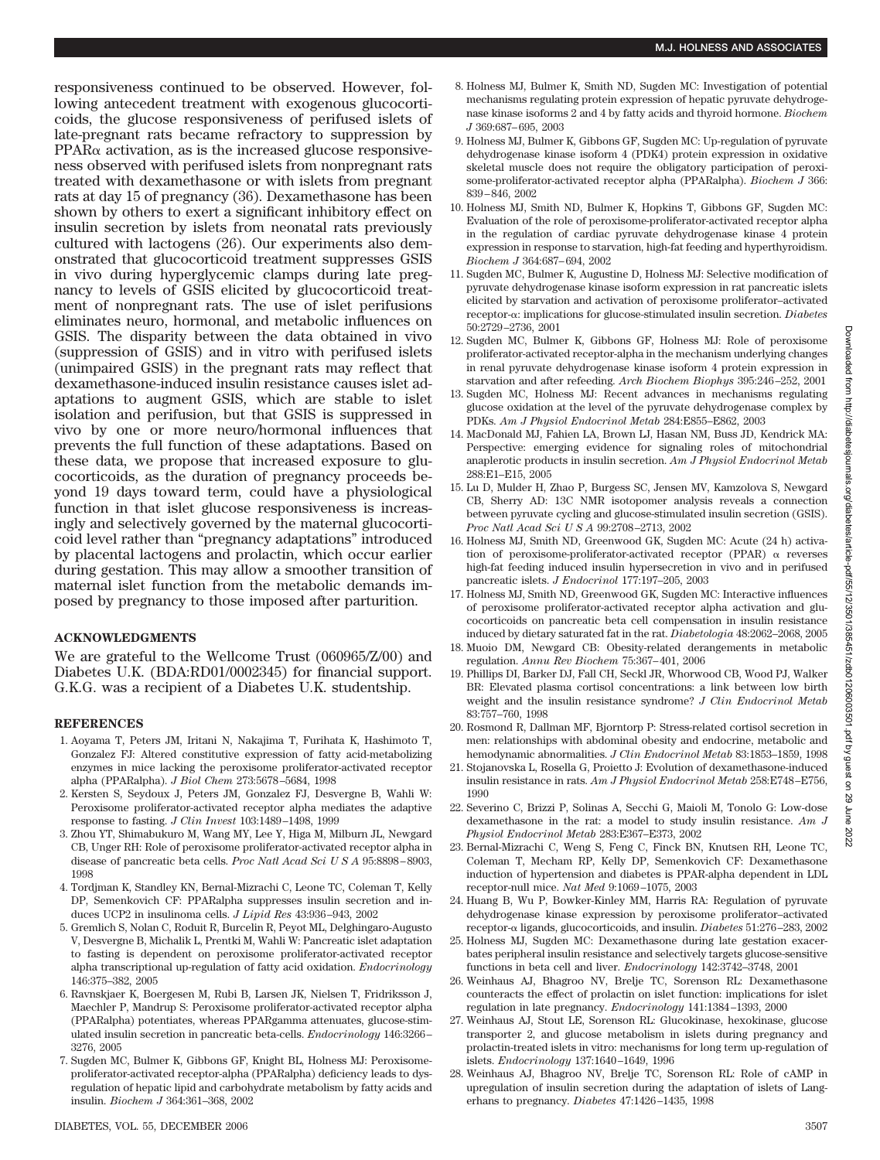responsiveness continued to be observed. However, following antecedent treatment with exogenous glucocorticoids, the glucose responsiveness of perifused islets of late-pregnant rats became refractory to suppression by  $PPAR\alpha$  activation, as is the increased glucose responsiveness observed with perifused islets from nonpregnant rats treated with dexamethasone or with islets from pregnant rats at day 15 of pregnancy (36). Dexamethasone has been shown by others to exert a significant inhibitory effect on insulin secretion by islets from neonatal rats previously cultured with lactogens (26). Our experiments also demonstrated that glucocorticoid treatment suppresses GSIS in vivo during hyperglycemic clamps during late pregnancy to levels of GSIS elicited by glucocorticoid treatment of nonpregnant rats. The use of islet perifusions eliminates neuro, hormonal, and metabolic influences on GSIS. The disparity between the data obtained in vivo (suppression of GSIS) and in vitro with perifused islets (unimpaired GSIS) in the pregnant rats may reflect that dexamethasone-induced insulin resistance causes islet adaptations to augment GSIS, which are stable to islet isolation and perifusion, but that GSIS is suppressed in vivo by one or more neuro/hormonal influences that prevents the full function of these adaptations. Based on these data, we propose that increased exposure to glucocorticoids, as the duration of pregnancy proceeds beyond 19 days toward term, could have a physiological function in that islet glucose responsiveness is increasingly and selectively governed by the maternal glucocorticoid level rather than "pregnancy adaptations" introduced by placental lactogens and prolactin, which occur earlier during gestation. This may allow a smoother transition of maternal islet function from the metabolic demands imposed by pregnancy to those imposed after parturition.

# **ACKNOWLEDGMENTS**

We are grateful to the Wellcome Trust (060965/Z/00) and Diabetes U.K. (BDA:RD01/0002345) for financial support. G.K.G. was a recipient of a Diabetes U.K. studentship.

# **REFERENCES**

- 1. Aoyama T, Peters JM, Iritani N, Nakajima T, Furihata K, Hashimoto T, Gonzalez FJ: Altered constitutive expression of fatty acid-metabolizing enzymes in mice lacking the peroxisome proliferator-activated receptor alpha (PPARalpha). *J Biol Chem* 273:5678–5684, 1998
- 2. Kersten S, Seydoux J, Peters JM, Gonzalez FJ, Desvergne B, Wahli W: Peroxisome proliferator-activated receptor alpha mediates the adaptive response to fasting. *J Clin Invest* 103:1489–1498, 1999
- 3. Zhou YT, Shimabukuro M, Wang MY, Lee Y, Higa M, Milburn JL, Newgard CB, Unger RH: Role of peroxisome proliferator-activated receptor alpha in disease of pancreatic beta cells. *Proc Natl Acad SciUSA* 95:8898–8903, 1998
- 4. Tordjman K, Standley KN, Bernal-Mizrachi C, Leone TC, Coleman T, Kelly DP, Semenkovich CF: PPARalpha suppresses insulin secretion and induces UCP2 in insulinoma cells. *J Lipid Res* 43:936–943, 2002
- 5. Gremlich S, Nolan C, Roduit R, Burcelin R, Peyot ML, Delghingaro-Augusto V, Desvergne B, Michalik L, Prentki M, Wahli W: Pancreatic islet adaptation to fasting is dependent on peroxisome proliferator-activated receptor alpha transcriptional up-regulation of fatty acid oxidation. *Endocrinology* 146:375–382, 2005
- 6. Ravnskjaer K, Boergesen M, Rubi B, Larsen JK, Nielsen T, Fridriksson J, Maechler P, Mandrup S: Peroxisome proliferator-activated receptor alpha (PPARalpha) potentiates, whereas PPARgamma attenuates, glucose-stimulated insulin secretion in pancreatic beta-cells. *Endocrinology* 146:3266– 3276, 2005
- 7. Sugden MC, Bulmer K, Gibbons GF, Knight BL, Holness MJ: Peroxisomeproliferator-activated receptor-alpha (PPARalpha) deficiency leads to dysregulation of hepatic lipid and carbohydrate metabolism by fatty acids and insulin. *Biochem J* 364:361–368, 2002
- 8. Holness MJ, Bulmer K, Smith ND, Sugden MC: Investigation of potential mechanisms regulating protein expression of hepatic pyruvate dehydrogenase kinase isoforms 2 and 4 by fatty acids and thyroid hormone. *Biochem J* 369:687–695, 2003
- 9. Holness MJ, Bulmer K, Gibbons GF, Sugden MC: Up-regulation of pyruvate dehydrogenase kinase isoform 4 (PDK4) protein expression in oxidative skeletal muscle does not require the obligatory participation of peroxisome-proliferator-activated receptor alpha (PPARalpha). *Biochem J* 366: 839–846, 2002
- 10. Holness MJ, Smith ND, Bulmer K, Hopkins T, Gibbons GF, Sugden MC: Evaluation of the role of peroxisome-proliferator-activated receptor alpha in the regulation of cardiac pyruvate dehydrogenase kinase 4 protein expression in response to starvation, high-fat feeding and hyperthyroidism. *Biochem J* 364:687–694, 2002
- 11. Sugden MC, Bulmer K, Augustine D, Holness MJ: Selective modification of pyruvate dehydrogenase kinase isoform expression in rat pancreatic islets elicited by starvation and activation of peroxisome proliferator–activated receptor-α: implications for glucose-stimulated insulin secretion. *Diabetes* 50:2729–2736, 2001
- 12. Sugden MC, Bulmer K, Gibbons GF, Holness MJ: Role of peroxisome proliferator-activated receptor-alpha in the mechanism underlying changes in renal pyruvate dehydrogenase kinase isoform 4 protein expression in starvation and after refeeding. *Arch Biochem Biophys* 395:246–252, 2001
- 13. Sugden MC, Holness MJ: Recent advances in mechanisms regulating glucose oxidation at the level of the pyruvate dehydrogenase complex by PDKs. *Am J Physiol Endocrinol Metab* 284:E855–E862, 2003
- 14. MacDonald MJ, Fahien LA, Brown LJ, Hasan NM, Buss JD, Kendrick MA: Perspective: emerging evidence for signaling roles of mitochondrial anaplerotic products in insulin secretion. *Am J Physiol Endocrinol Metab* 288:E1–E15, 2005
- 15. Lu D, Mulder H, Zhao P, Burgess SC, Jensen MV, Kamzolova S, Newgard CB, Sherry AD: 13C NMR isotopomer analysis reveals a connection between pyruvate cycling and glucose-stimulated insulin secretion (GSIS). *Proc Natl Acad SciUSA* 99:2708–2713, 2002
- 16. Holness MJ, Smith ND, Greenwood GK, Sugden MC: Acute (24 h) activation of peroxisome-proliferator-activated receptor  $(PPAR)$   $\alpha$  reverses high-fat feeding induced insulin hypersecretion in vivo and in perifused pancreatic islets. *J Endocrinol* 177:197–205, 2003
- 17. Holness MJ, Smith ND, Greenwood GK, Sugden MC: Interactive influences of peroxisome proliferator-activated receptor alpha activation and glucocorticoids on pancreatic beta cell compensation in insulin resistance induced by dietary saturated fat in the rat. *Diabetologia* 48:2062–2068, 2005
- 18. Muoio DM, Newgard CB: Obesity-related derangements in metabolic regulation. *Annu Rev Biochem* 75:367–401, 2006
- 19. Phillips DI, Barker DJ, Fall CH, Seckl JR, Whorwood CB, Wood PJ, Walker BR: Elevated plasma cortisol concentrations: a link between low birth weight and the insulin resistance syndrome? *J Clin Endocrinol Metab* 83:757–760, 1998
- 20. Rosmond R, Dallman MF, Bjorntorp P: Stress-related cortisol secretion in men: relationships with abdominal obesity and endocrine, metabolic and hemodynamic abnormalities. *J Clin Endocrinol Metab* 83:1853–1859, 1998
- 21. Stojanovska L, Rosella G, Proietto J: Evolution of dexamethasone-induced insulin resistance in rats. *Am J Physiol Endocrinol Metab* 258:E748–E756, 1990
- 22. Severino C, Brizzi P, Solinas A, Secchi G, Maioli M, Tonolo G: Low-dose dexamethasone in the rat: a model to study insulin resistance. *Am J Physiol Endocrinol Metab* 283:E367–E373, 2002
- 23. Bernal-Mizrachi C, Weng S, Feng C, Finck BN, Knutsen RH, Leone TC, Coleman T, Mecham RP, Kelly DP, Semenkovich CF: Dexamethasone induction of hypertension and diabetes is PPAR-alpha dependent in LDL receptor-null mice. *Nat Med* 9:1069–1075, 2003
- 24. Huang B, Wu P, Bowker-Kinley MM, Harris RA: Regulation of pyruvate dehydrogenase kinase expression by peroxisome proliferator–activated receptor-α ligands, glucocorticoids, and insulin. *Diabetes* 51:276-283, 2002
- 25. Holness MJ, Sugden MC: Dexamethasone during late gestation exacerbates peripheral insulin resistance and selectively targets glucose-sensitive functions in beta cell and liver. *Endocrinology* 142:3742–3748, 2001
- 26. Weinhaus AJ, Bhagroo NV, Brelje TC, Sorenson RL: Dexamethasone counteracts the effect of prolactin on islet function: implications for islet regulation in late pregnancy. *Endocrinology* 141:1384–1393, 2000
- 27. Weinhaus AJ, Stout LE, Sorenson RL: Glucokinase, hexokinase, glucose transporter 2, and glucose metabolism in islets during pregnancy and prolactin-treated islets in vitro: mechanisms for long term up-regulation of islets. *Endocrinology* 137:1640–1649, 1996
- 28. Weinhaus AJ, Bhagroo NV, Brelje TC, Sorenson RL: Role of cAMP in upregulation of insulin secretion during the adaptation of islets of Langerhans to pregnancy. *Diabetes* 47:1426–1435, 1998